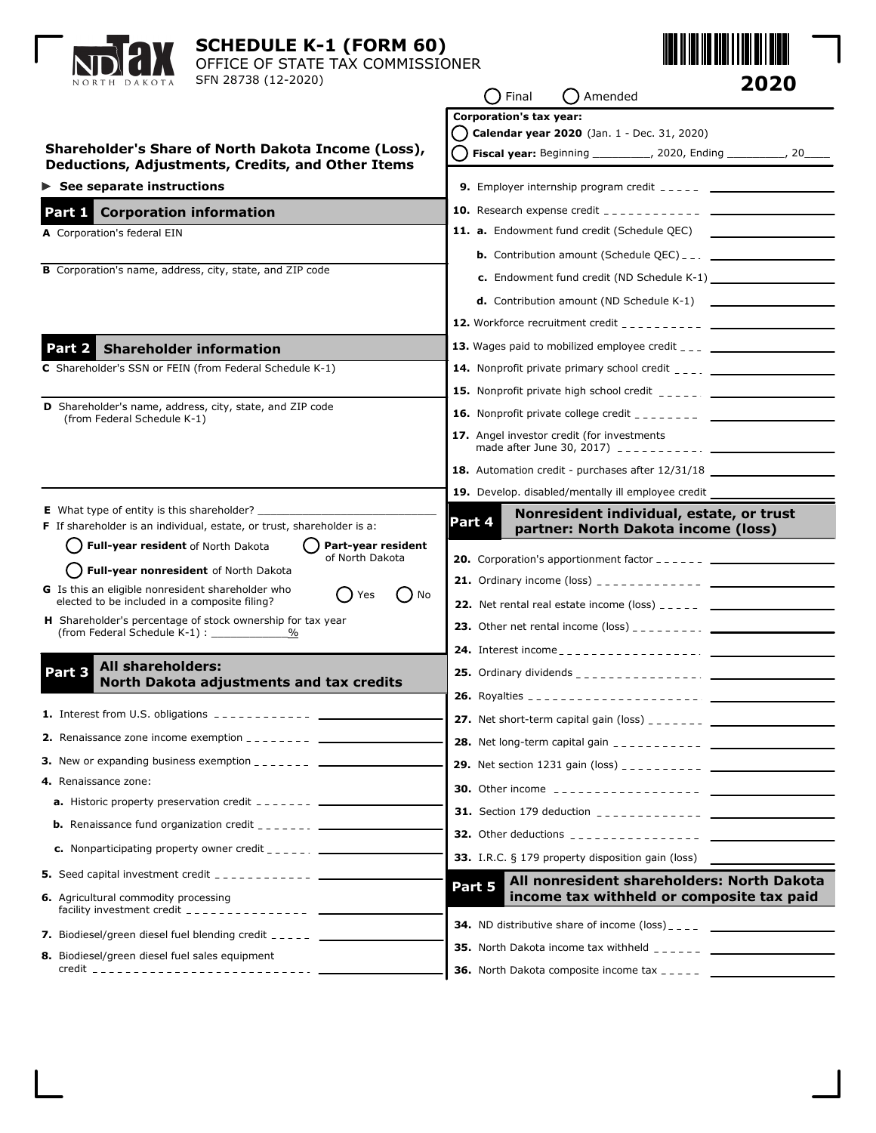| NORTH DAKOTA                                                                                                                                                                   | <b>SCHEDULE K-1 (FORM 60)</b><br>OFFICE OF STATE TAX COMMISSIONER<br>SFN 28738 (12-2020)                                                                                                                                                                                                        |        | Final                   | Amended                                           |                                                                                                                                                                                                                                                                                                                            | 2020 |
|--------------------------------------------------------------------------------------------------------------------------------------------------------------------------------|-------------------------------------------------------------------------------------------------------------------------------------------------------------------------------------------------------------------------------------------------------------------------------------------------|--------|-------------------------|---------------------------------------------------|----------------------------------------------------------------------------------------------------------------------------------------------------------------------------------------------------------------------------------------------------------------------------------------------------------------------------|------|
|                                                                                                                                                                                | Shareholder's Share of North Dakota Income (Loss),<br>Deductions, Adjustments, Credits, and Other Items                                                                                                                                                                                         |        | Corporation's tax year: | Calendar year 2020 (Jan. 1 - Dec. 31, 2020)       | <b>Fiscal year:</b> Beginning __________, 2020, Ending _________, 20____                                                                                                                                                                                                                                                   |      |
| $\triangleright$ See separate instructions                                                                                                                                     |                                                                                                                                                                                                                                                                                                 |        |                         |                                                   | <b>9.</b> Employer internship program credit $\frac{1}{2}$ = $\frac{1}{2}$ = $\frac{1}{2}$ = $\frac{1}{2}$ = $\frac{1}{2}$ = $\frac{1}{2}$ = $\frac{1}{2}$ = $\frac{1}{2}$ = $\frac{1}{2}$ = $\frac{1}{2}$ = $\frac{1}{2}$ = $\frac{1}{2}$ = $\frac{1}{2}$ = $\frac{1}{2}$ = $\frac{1}{2}$ =                               |      |
| <b>Corporation information</b><br>Part 1 I                                                                                                                                     |                                                                                                                                                                                                                                                                                                 |        |                         |                                                   |                                                                                                                                                                                                                                                                                                                            |      |
| A Corporation's federal EIN<br><b>B</b> Corporation's name, address, city, state, and ZIP code                                                                                 |                                                                                                                                                                                                                                                                                                 |        |                         | 11. a. Endowment fund credit (Schedule QEC)       | <b>b.</b> Contribution amount (Schedule QEC) $_{-}$ $_{-}$ $_{-}$ $_{-}$ $_{-}$ $_{-}$ $_{-}$ $_{-}$ $_{-}$ $_{-}$ $_{-}$ $_{-}$ $_{-}$ $_{-}$ $_{-}$ $_{-}$ $_{-}$ $_{-}$ $_{-}$ $_{-}$ $_{-}$ $_{-}$ $_{-}$ $_{-}$ $_{-}$ $_{-}$ $_{-}$ $_{-}$ $_{-}$ $_{-}$<br>c. Endowment fund credit (ND Schedule K-1) _____________ |      |
|                                                                                                                                                                                |                                                                                                                                                                                                                                                                                                 |        |                         |                                                   |                                                                                                                                                                                                                                                                                                                            |      |
| <b>Shareholder information</b><br>Part 2                                                                                                                                       |                                                                                                                                                                                                                                                                                                 |        |                         |                                                   |                                                                                                                                                                                                                                                                                                                            |      |
| C Shareholder's SSN or FEIN (from Federal Schedule K-1)                                                                                                                        |                                                                                                                                                                                                                                                                                                 |        |                         |                                                   | <b>14.</b> Nonprofit private primary school credit $\frac{1}{2}$                                                                                                                                                                                                                                                           |      |
| <b>D</b> Shareholder's name, address, city, state, and ZIP code<br>(from Federal Schedule K-1)                                                                                 |                                                                                                                                                                                                                                                                                                 |        |                         | 17. Angel investor credit (for investments        |                                                                                                                                                                                                                                                                                                                            |      |
|                                                                                                                                                                                |                                                                                                                                                                                                                                                                                                 |        |                         |                                                   | 18. Automation credit - purchases after 12/31/18<br>19. Develop. disabled/mentally ill employee credit _____                                                                                                                                                                                                               |      |
| <b>E</b> What type of entity is this shareholder?                                                                                                                              | F If shareholder is an individual, estate, or trust, shareholder is a:                                                                                                                                                                                                                          | Part 4 |                         |                                                   | Nonresident individual, estate, or trust<br>partner: North Dakota income (loss)                                                                                                                                                                                                                                            |      |
| Full-year resident of North Dakota<br>Full-year nonresident of North Dakota<br>G Is this an eligible nonresident shareholder who                                               | Part-year resident<br>of North Dakota<br>Yes<br>No                                                                                                                                                                                                                                              |        |                         |                                                   | <b>20.</b> Corporation's apportionment factor $-- ---$                                                                                                                                                                                                                                                                     |      |
| elected to be included in a composite filing?<br>(from Federal Schedule K-1):                                                                                                  | H Shareholder's percentage of stock ownership for tax year<br>$\%$                                                                                                                                                                                                                              |        |                         |                                                   | <b>22.</b> Net rental real estate income (loss) $\frac{1}{2}$ $\frac{1}{2}$ $\frac{1}{2}$ $\frac{1}{2}$ $\frac{1}{2}$                                                                                                                                                                                                      |      |
| All shareholders:<br>art s<br>North Dakota adjustments and tax credits                                                                                                         |                                                                                                                                                                                                                                                                                                 |        |                         |                                                   |                                                                                                                                                                                                                                                                                                                            |      |
|                                                                                                                                                                                | <b>1.</b> Interest from U.S. obligations $\frac{1}{2}$ = $\frac{1}{2}$ = $\frac{1}{2}$ = $\frac{1}{2}$ = $\frac{1}{2}$                                                                                                                                                                          |        |                         |                                                   |                                                                                                                                                                                                                                                                                                                            |      |
|                                                                                                                                                                                | <b>2.</b> Renaissance zone income exemption $\frac{1}{2}$ = $\frac{1}{2}$ = $\frac{1}{2}$ = $\frac{1}{2}$ = $\frac{1}{2}$ = $\frac{1}{2}$ = $\frac{1}{2}$ = $\frac{1}{2}$ = $\frac{1}{2}$ = $\frac{1}{2}$ = $\frac{1}{2}$ = $\frac{1}{2}$ = $\frac{1}{2}$ = $\frac{1}{2}$ = $\frac{1}{2}$ = $\$ |        |                         |                                                   |                                                                                                                                                                                                                                                                                                                            |      |
| <b>3.</b> New or expanding business exemption $\frac{1}{2}$ = $\frac{1}{2}$ = $\frac{1}{2}$ = $\frac{1}{2}$ = $\frac{1}{2}$                                                    |                                                                                                                                                                                                                                                                                                 |        |                         |                                                   |                                                                                                                                                                                                                                                                                                                            |      |
| 4. Renaissance zone:                                                                                                                                                           |                                                                                                                                                                                                                                                                                                 |        |                         |                                                   |                                                                                                                                                                                                                                                                                                                            |      |
| <b>a.</b> Historic property preservation credit $---$                                                                                                                          |                                                                                                                                                                                                                                                                                                 |        |                         |                                                   |                                                                                                                                                                                                                                                                                                                            |      |
| <b>b.</b> Renaissance fund organization credit $\frac{1}{2}$<br><b>c.</b> Nonparticipating property owner credit $\frac{1}{2}$ = $\frac{1}{2}$ = $\frac{1}{2}$ = $\frac{1}{2}$ |                                                                                                                                                                                                                                                                                                 |        |                         |                                                   |                                                                                                                                                                                                                                                                                                                            |      |
|                                                                                                                                                                                |                                                                                                                                                                                                                                                                                                 |        |                         | 33. I.R.C. § 179 property disposition gain (loss) |                                                                                                                                                                                                                                                                                                                            |      |
|                                                                                                                                                                                |                                                                                                                                                                                                                                                                                                 |        |                         |                                                   | All nonresident shareholders: North Dakota                                                                                                                                                                                                                                                                                 |      |
| 6. Agricultural commodity processing                                                                                                                                           | facility investment credit $\frac{1}{2}$ = $\frac{1}{2}$ = $\frac{1}{2}$ = $\frac{1}{2}$ = $\frac{1}{2}$ = $\frac{1}{2}$ = $\frac{1}{2}$                                                                                                                                                        | Part 5 |                         |                                                   | income tax withheld or composite tax paid                                                                                                                                                                                                                                                                                  |      |
| 7. Biodiesel/green diesel fuel blending credit _____ ___________________________                                                                                               |                                                                                                                                                                                                                                                                                                 |        |                         |                                                   |                                                                                                                                                                                                                                                                                                                            |      |
| 8. Biodiesel/green diesel fuel sales equipment                                                                                                                                 |                                                                                                                                                                                                                                                                                                 |        |                         |                                                   |                                                                                                                                                                                                                                                                                                                            |      |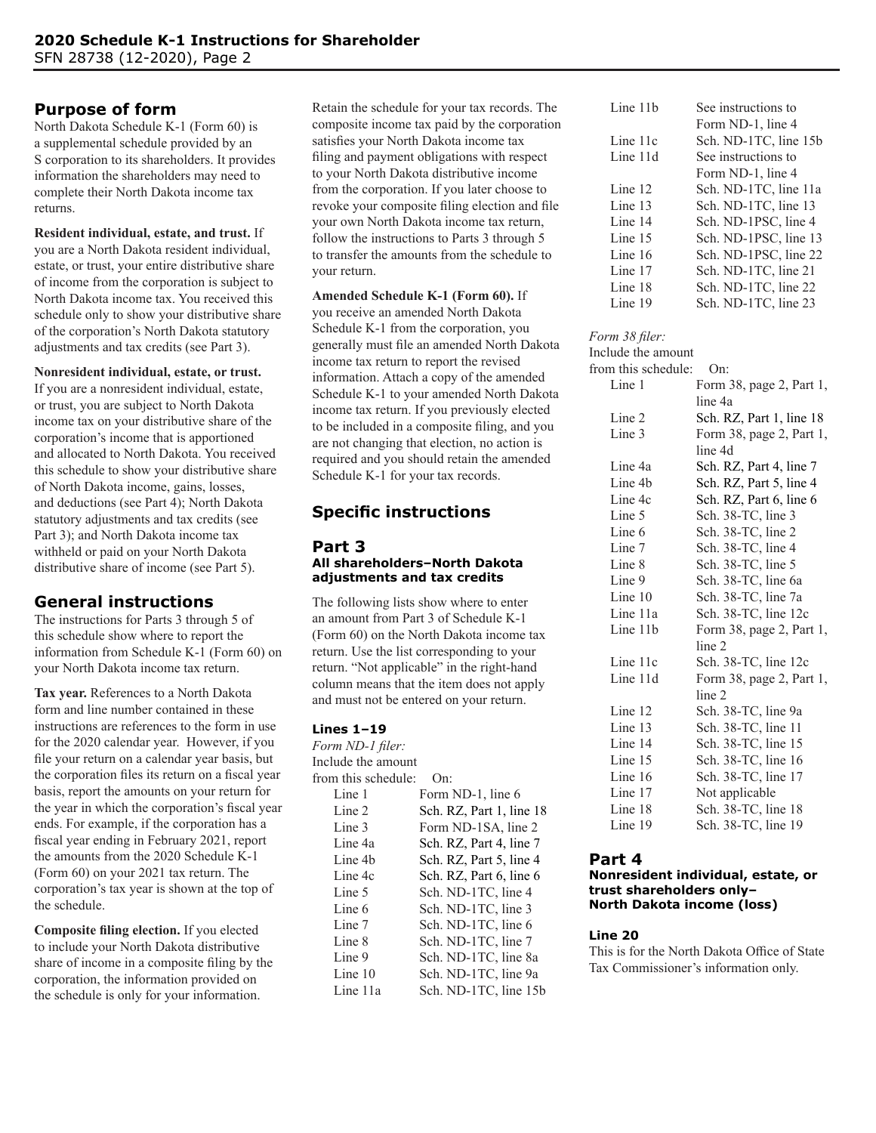## **Purpose of form**

North Dakota Schedule K-1 (Form 60) is a supplemental schedule provided by an S corporation to its shareholders. It provides information the shareholders may need to complete their North Dakota income tax returns.

**Resident individual, estate, and trust.** If you are a North Dakota resident individual, estate, or trust, your entire distributive share of income from the corporation is subject to North Dakota income tax. You received this schedule only to show your distributive share of the corporation's North Dakota statutory adjustments and tax credits (see Part 3).

### **Nonresident individual, estate, or trust.**

If you are a nonresident individual, estate, or trust, you are subject to North Dakota income tax on your distributive share of the corporation's income that is apportioned and allocated to North Dakota. You received this schedule to show your distributive share of North Dakota income, gains, losses, and deductions (see Part 4); North Dakota statutory adjustments and tax credits (see Part 3); and North Dakota income tax withheld or paid on your North Dakota distributive share of income (see Part 5).

## **General instructions**

The instructions for Parts 3 through 5 of this schedule show where to report the information from Schedule K-1 (Form 60) on your North Dakota income tax return.

**Tax year.** References to a North Dakota form and line number contained in these instructions are references to the form in use for the 2020 calendar year. However, if you file your return on a calendar year basis, but the corporation files its return on a fiscal year basis, report the amounts on your return for the year in which the corporation's fiscal year ends. For example, if the corporation has a fiscal year ending in February 2021, report the amounts from the 2020 Schedule K-1 (Form 60) on your 2021 tax return. The corporation's tax year is shown at the top of the schedule.

**Composite filing election.** If you elected to include your North Dakota distributive share of income in a composite filing by the corporation, the information provided on the schedule is only for your information.

Retain the schedule for your tax records. The composite income tax paid by the corporation satisfies your North Dakota income tax filing and payment obligations with respect to your North Dakota distributive income from the corporation. If you later choose to revoke your composite filing election and file your own North Dakota income tax return, follow the instructions to Parts 3 through 5 to transfer the amounts from the schedule to your return.

## **Amended Schedule K-1 (Form 60).** If

you receive an amended North Dakota Schedule K-1 from the corporation, you generally must file an amended North Dakota income tax return to report the revised information. Attach a copy of the amended Schedule K-1 to your amended North Dakota income tax return. If you previously elected to be included in a composite filing, and you are not changing that election, no action is required and you should retain the amended Schedule K-1 for your tax records.

# **Specific instructions**

#### **Part 3 All shareholders–North Dakota adjustments and tax credits**

The following lists show where to enter an amount from Part 3 of Schedule K-1 (Form 60) on the North Dakota income tax return. Use the list corresponding to your return. "Not applicable" in the right-hand column means that the item does not apply and must not be entered on your return.

## **Lines 1–19**

*Form ND-1 filer:* Include the amount from this schedule: On: Line 1 Form ND-1, line 6 Line 2 Sch. RZ, Part 1, line 18 Line 3 Form ND-1SA, line 2 Line 4a Sch. RZ, Part 4, line 7 Line 4b Sch. RZ, Part 5, line 4 Line 4c Sch. RZ, Part 6, line 6 Line 5 Sch. ND-1TC, line 4 Line 6 Sch. ND-1TC, line 3 Line 7 Sch. ND-1TC, line 6 Line 8 Sch. ND-1TC, line 7 Line 9 Sch. ND-1TC, line 8a Line 10 Sch. ND-1TC, line 9a Line 11a Sch. ND-1TC, line 15b

| Line 11b  | See instructions to   |
|-----------|-----------------------|
|           | Form ND-1, line 4     |
| Line 11c  | Sch. ND-1TC, line 15b |
| Line 11d  | See instructions to   |
|           | Form ND-1, line 4     |
| Line $12$ | Sch. ND-1TC, line 11a |
| Line 13   | Sch. ND-1TC, line 13  |
| Line 14   | Sch. ND-1PSC, line 4  |
| Line 15   | Sch. ND-1PSC, line 13 |
| Line 16   | Sch. ND-1PSC, line 22 |
| Line 17   | Sch. ND-1TC, line 21  |
| Line 18   | Sch. ND-1TC, line 22  |
| Line 19   | Sch. ND-1TC, line 23  |

#### *Form 38 filer:*

| Include the amount  |                          |
|---------------------|--------------------------|
| from this schedule: | On:                      |
| Line 1              | Form 38, page 2, Part 1, |
|                     | line 4a                  |
| Line 2              | Sch. RZ, Part 1, line 18 |
| Line 3              | Form 38, page 2, Part 1, |
|                     | line 4d                  |
| Line 4a             | Sch. RZ, Part 4, line 7  |
| Line 4b             | Sch. RZ, Part 5, line 4  |
| Line 4c             | Sch. RZ, Part 6, line 6  |
| Line 5              | Sch. 38-TC, line 3       |
| Line 6              | Sch. 38-TC, line 2       |
| Line 7              | Sch. 38-TC, line 4       |
| Line 8              | Sch. 38-TC, line 5       |
| Line 9              | Sch. 38-TC, line 6a      |
| Line $10$           | Sch. 38-TC, line 7a      |
| Line 11a            | Sch. 38-TC, line 12c     |
| Line 11b            | Form 38, page 2, Part 1, |
|                     | line 2                   |
| Line 11c            | Sch. 38-TC, line 12c     |
| Line 11d            | Form 38, page 2, Part 1, |
|                     | line 2                   |
| Line 12             | Sch. 38-TC, line 9a      |
| Line 13             | Sch. 38-TC, line 11      |
| Line 14             | Sch. 38-TC, line 15      |
| Line 15             | Sch. 38-TC, line 16      |
| Line 16             | Sch. 38-TC, line 17      |
| Line 17             | Not applicable           |
| Line 18             | Sch. 38-TC, line 18      |
| Line 19             | Sch. 38-TC, line 19      |
|                     |                          |

## **Part 4**

#### **Nonresident individual, estate, or trust shareholders only– North Dakota income (loss)**

#### **Line 20**

This is for the North Dakota Office of State Tax Commissioner's information only.